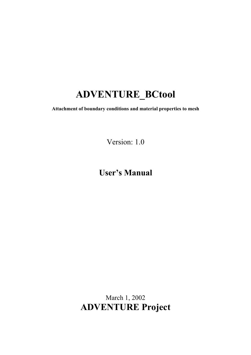# **ADVENTURE\_BCtool**

**Attachment of boundary conditions and material properties to mesh** 

Version: 1.0

# **User's Manual**

March 1, 2002 **ADVENTURE Project**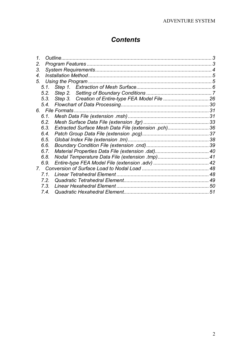## *Contents*

|                                                     | 30                                                          |
|-----------------------------------------------------|-------------------------------------------------------------|
|                                                     |                                                             |
|                                                     |                                                             |
|                                                     |                                                             |
| Extracted Surface Mesh Data File (extension .pch)36 |                                                             |
|                                                     |                                                             |
|                                                     |                                                             |
|                                                     |                                                             |
|                                                     |                                                             |
|                                                     |                                                             |
|                                                     |                                                             |
|                                                     |                                                             |
|                                                     |                                                             |
|                                                     |                                                             |
|                                                     |                                                             |
|                                                     | 51                                                          |
|                                                     | Outline.<br>5.1.<br>5.3.<br>5.4.<br>6. File Formats<br>7.3. |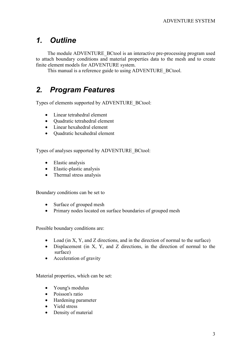## *1. Outline*

The module ADVENTURE\_BCtool is an interactive pre-processing program used to attach boundary conditions and material properties data to the mesh and to create finite element models for ADVENTURE system.

This manual is a reference guide to using ADVENTURE\_BCtool.

## *2. Program Features*

Types of elements supported by ADVENTURE\_BCtool:

- Linear tetrahedral element
- Quadratic tetrahedral element
- Linear hexahedral element
- Quadratic hexahedral element

Types of analyses supported by ADVENTURE\_BCtool:

- Elastic analysis
- Elastic-plastic analysis
- Thermal stress analysis

Boundary conditions can be set to

- Surface of grouped mesh
- Primary nodes located on surface boundaries of grouped mesh

Possible boundary conditions are:

- Load (in X, Y, and Z directions, and in the direction of normal to the surface)
- Displacement (in X, Y, and Z directions, in the direction of normal to the surface)
- Acceleration of gravity

Material properties, which can be set:

- Young's modulus
- Poisson's ratio
- Hardening parameter
- Yield stress
- Density of material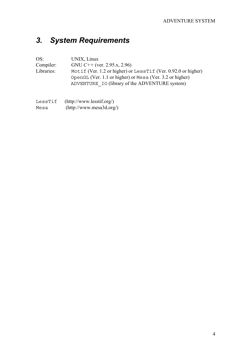## *3. System Requirements*

OS: UNIX, Linux<br>Compiler: GNU C++ (v Compiler: GNU *C*++ (ver. 2.95.x, 2.96)<br>Libraries: Motif (Ver. 1.2 or higher) or Motif (Ver. 1.2 or higher) or LessTif (Ver. 0.92.0 or higher) OpenGL (Ver. 1.1 or higher) or Mesa (Ver. 3.2 or higher) ADVENTURE\_IO (library of the ADVENTURE system)

| LessTif | (http://www.lesstif.org/) |
|---------|---------------------------|
| Mesa    | (http://www.mesa3d.org/)  |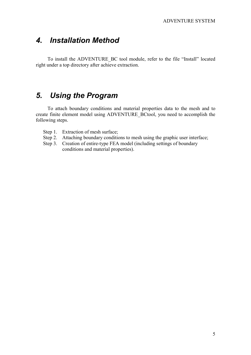## *4. Installation Method*

To install the ADVENTURE\_BC tool module, refer to the file "Install" located right under a top directory after achieve extraction.

## *5. Using the Program*

To attach boundary conditions and material properties data to the mesh and to create finite element model using ADVENTURE\_BCtool, you need to accomplish the following steps.

- Step 1. Extraction of mesh surface:
- Step 2. Attaching boundary conditions to mesh using the graphic user interface;
- Step 3. Creation of entire-type FEA model (including settings of boundary conditions and material properties).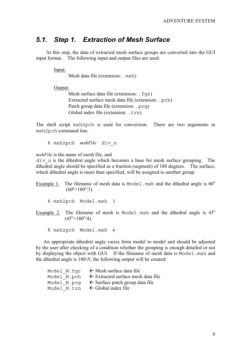## *5.1. Step 1. Extraction of Mesh Surface*

At this step, the data of extracted mesh surface groups are converted into the GUI input format. The following input and output files are used.

Input:

Mesh data file (extension: .msh)

Output:

Mesh surface data file (extension: . fqr) Extracted surface mesh data file (extension: .pch) Patch group data file (extension: . pcq) Global index file (extension: .trn)

The shell script msh2pch is used for conversion. There are two arguments in msh2pch command line.

% msh2pch *mshFile div\_n*

*mshFile* is the name of mesh file, and

*div\_n* is the dihedral angle which becomes a base for mesh surface grouping. The dihedral angle should be specified as a fraction (segment) of 180 degrees. The surface, which dihedral angle is more than specified, will be assigned to another group.

Example 1. The filename of mesh data is Model. msh and the dihedral angle is  $60^{\circ}$  $(60^{\circ} = 180^{\circ}/3)$ .

Example 2. The filename of mesh is Model.msh and the dihedral angle is  $45^\circ$  $(45^{\circ} = 180^{\circ}/4)$ .

% msh2pch Model.msh 4

An appropriate dihedral angle varies form model to model and should be adjusted by the user after checking of a condition whether the grouping is enough detailed or not by displaying the object with GUI. If the filename of mesh data is Model.msh and the dihedral angle is 180/*N*, the following output will be created:

| Model N.fqr | $\leftarrow$ Mesh surface data file           |
|-------------|-----------------------------------------------|
| Model N.pch | $\leftarrow$ Extracted surface mesh data file |
| Model N.pcq | $\leftarrow$ Surface patch group data file    |
| Model N.trn | $\leftarrow$ Global index file                |

<sup>%</sup> msh2pch Model.msh 3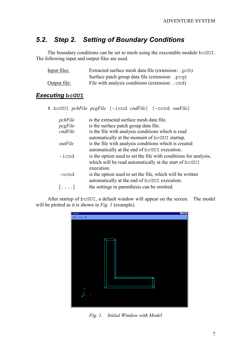## *5.2. Step 2. Setting of Boundary Conditions*

The boundary conditions can be set to mesh using the executable module bcGUI. The following input and output files are used.

| Input files: | Extracted surface mesh data file (extension: . pch) |
|--------------|-----------------------------------------------------|
|              | Surface patch group data file (extension: . pcq)    |
| Output file: | File with analysis conditions (extension: .cnd)     |

### **Executing bcGUI**

% bcGUI *pchFile pcgFile* [-icnd *cndFile*] [-ocnd *outFile*]

| pchFile                 | is the extracted surface mesh data file.                         |
|-------------------------|------------------------------------------------------------------|
| pcgFile                 | is the surface patch group data file.                            |
| cndFile                 | is the file with analysis conditions which is read               |
|                         | automatically at the moment of bcGUI startup.                    |
| outFile                 | is the file with analysis conditions which is created            |
|                         | automatically at the end of bcGUI execution.                     |
| -icnd                   | is the option used to set the file with conditions for analysis, |
|                         | which will be read automatically at the start of bcGUI           |
|                         | execution.                                                       |
| -ocnd                   | is the option used to set the file, which will be written        |
|                         | automatically at the end of bcGUI execution.                     |
| $\left  \ldots \right $ | the settings in parenthesis can be omitted.                      |
|                         |                                                                  |

After startup of bcGUI, a default window will appear on the screen. The model will be plotted as it is shown in *Fig. 1* (example).



*Fig. 1. Initial Window with Model*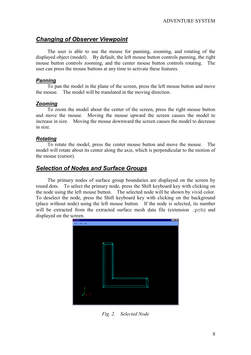### *Changing of Observer Viewpoint*

The user is able to use the mouse for panning, zooming, and rotating of the displayed object (model). By default, the left mouse button controls panning, the right mouse button controls zooming, and the center mouse button controls rotating. The user can press the mouse buttons at any time to activate these features.

#### *Panning*

To pan the model in the plane of the screen, press the left mouse button and move the mouse. The model will be translated in the moving direction.

#### *Zooming*

To zoom the model about the center of the screen, press the right mouse button and move the mouse. Moving the mouse upward the screen causes the model to increase in size. Moving the mouse downward the screen causes the model to decrease in size.

#### *Rotating*

To rotate the model, press the center mouse button and move the mouse. The model will rotate about its center along the axis, which is perpendicular to the motion of the mouse (cursor).

### *Selection of Nodes and Surface Groups*

The primary nodes of surface group boundaries are displayed on the screen by round dots. To select the primary node, press the Shift keyboard key with clicking on the node using the left mouse button. The selected node will be shown by vivid color. To deselect the node, press the Shift keyboard key with clicking on the background (place without node) using the left mouse button. If the node is selected, its number will be extracted from the extracted surface mesh data file (extension .pch) and displayed on the screen.



*Fig. 2. Selected Node*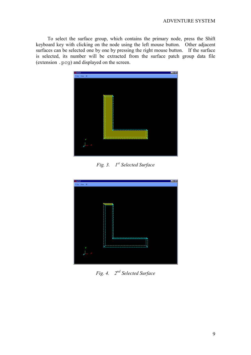To select the surface group, which contains the primary node, press the Shift keyboard key with clicking on the node using the left mouse button. Other adjacent surfaces can be selected one by one by pressing the right mouse button. If the surface is selected, its number will be extracted from the surface patch group data file (extension .pcg) and displayed on the screen.



*Fig. 3. 1st Selected Surface* 



*Fig. 4. 2nd Selected Surface*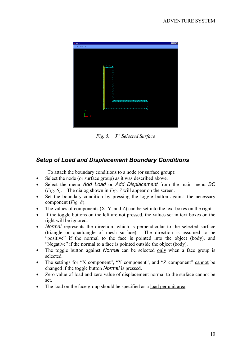

*Fig. 5. 3rd Selected Surface* 

## *Setup of Load and Displacement Boundary Conditions*

To attach the boundary conditions to a node (or surface group):

- Select the node (or surface group) as it was described above.
- Select the menu *Add Load* or *Add Displacement* from the main menu *BC* (*Fig. 6*). The dialog shown in *Fig. 7* will appear on the screen.
- Set the boundary condition by pressing the toggle button against the necessary component (*Fig. 8*).
- The values of components  $(X, Y, \text{ and } Z)$  can be set into the text boxes on the right.
- If the toggle buttons on the left are not pressed, the values set in text boxes on the right will be ignored.
- *Normal* represents the direction, which is perpendicular to the selected surface (triangle or quadrangle of mesh surface). The direction is assumed to be "positive" if the normal to the face is pointed into the object (body), and "Negative" if the normal to a face is pointed outside the object (body).
- The toggle button against *Normal* can be selected only when a face group is selected.
- The settings for "X component", "Y component", and "Z component" cannot be changed if the toggle button *Normal* is pressed.
- Zero value of load and zero value of displacement normal to the surface cannot be set.
- The load on the face group should be specified as a load per unit area.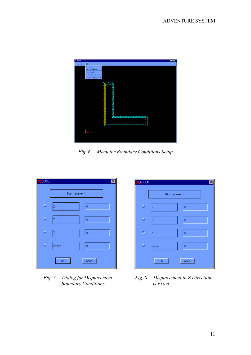

*Fig. 6. Menu for Boundary Conditions Setup* 



**Boundary Conditions** 



*Fig. 7. Dialog for Displacement Fig. 8. Displacement in Z Direction Boundary Conditions Is Fixed*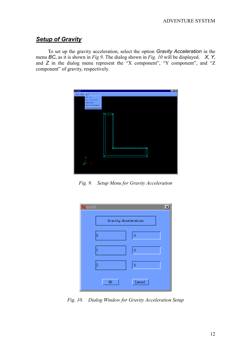### *Setup of Gravity*

To set up the gravity acceleration, select the option *Gravity Acceleration* in the menu *BC*, as it is shown in *Fig 9*. The dialog shown in *Fig. 10* will be displayed. *X*, *Y*, and *Z* in the dialog menu represent the "X component", "Y component", and "Z component" of gravity, respectively.



*Fig. 9. Setup Menu for Gravity Acceleration* 

| <b>X</b> beGUI       |        |
|----------------------|--------|
| Gravity Acceleration |        |
| X                    | Ŏ      |
| ٧                    | Ô      |
| Ż                    | Ŏ      |
| 0K                   | Cancel |

*Fig. 10. Dialog Window for Gravity Acceleration Setup*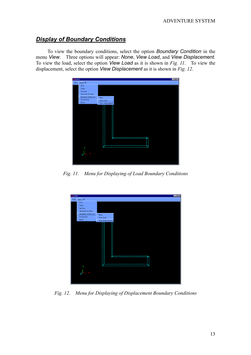### *Display of Boundary Conditions*

To view the boundary conditions, select the option *Boundary Condition* in the menu *View*. Three options will appear: *None*, *View Load*, and *View Displacement*. To view the load, select the option *View Load* as it is shown in *Fig. 11*. To view the displacement, select the option *View Displacement* as it is shown in *Fig. 12*.



*Fig. 11. Menu for Displaying of Load Boundary Conditions* 



*Fig. 12. Menu for Displaying of Displacement Boundary Conditions*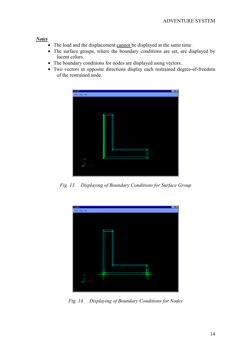#### *Notes*

- The load and the displacement cannot be displayed at the same time.
- The surface groups, where the boundary conditions are set, are displayed by lucent colors.
- The boundary conditions for nodes are displayed using vectors.
- Two vectors in opposite directions display each restrained degree-of-freedom of the restrained node.



*Fig. 13. Displaying of Boundary Conditions for Surface Group* 



*Fig. 14. Displaying of Boundary Conditions for Nodes*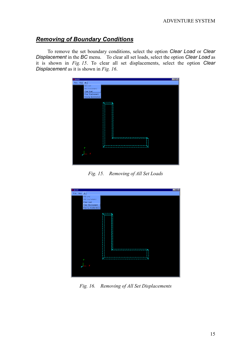### *Removing of Boundary Conditions*

To remove the set boundary conditions, select the option *Clear Load* or *Clear Displacement* in the *BC* menu. To clear all set loads, select the option *Clear Load* as it is shown in *Fig. 15*. To clear all set displacements, select the option *Clear Displacement* as it is shown in *Fig. 16*.



*Fig. 15. Removing of All Set Loads*



*Fig. 16. Removing of All Set Displacements*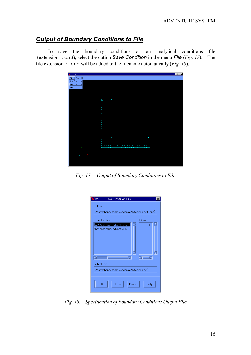### *Output of Boundary Conditions to File*

To save the boundary conditions as an analytical conditions file (extension: .cnd), select the option *Save Condition* in the menu *File* (*Fig. 17*). The file extension \*.cnd will be added to the filename automatically (*Fig. 18*).



*Fig. 17. Output of Boundary Conditions to File*

| bcGUI - Save Condition File                         |       |  |  |  |  |
|-----------------------------------------------------|-------|--|--|--|--|
| Filter                                              |       |  |  |  |  |
| /amnt/home/home1/caedemo/adventure/*.cnd            |       |  |  |  |  |
| Directories                                         | Files |  |  |  |  |
| )me1/caedemo/adventure/.<br>)me1/caedemo/adventure/ | t  1  |  |  |  |  |
| ь<br>Selection                                      | ⊲⊏ਾ⊵  |  |  |  |  |
| /amnt/home/home1/caedemo/adventure/                 |       |  |  |  |  |
| Filter<br>0K<br>Cancel<br>Help                      |       |  |  |  |  |

*Fig. 18. Specification of Boundary Conditions Output File*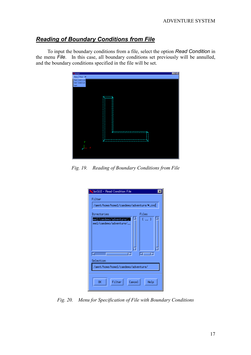## *Reading of Boundary Conditions from File*

To input the boundary conditions from a file, select the option *Read Condition* in the menu *File*. In this case, all boundary conditions set previously will be annulled, and the boundary conditions specified in the file will be set.



*Fig. 19. Reading of Boundary Conditions from File*

| bcGUI - Read Condition File                        |           |  |  |  |  |
|----------------------------------------------------|-----------|--|--|--|--|
| Filter                                             |           |  |  |  |  |
| /amnt/home/home1/caedemo/adventure/*.cnd[          |           |  |  |  |  |
| Directories                                        | Files     |  |  |  |  |
| //me1/caedemo/adventure<br>)me1/caedemo/adventure/ | [  ]      |  |  |  |  |
| ы                                                  |           |  |  |  |  |
|                                                    | Selection |  |  |  |  |
| /amnt/home/home1/caedemo/adventure/                |           |  |  |  |  |
| 0K<br>Filter<br>Cancel<br>Help                     |           |  |  |  |  |

*Fig. 20. Menu for Specification of File with Boundary Conditions*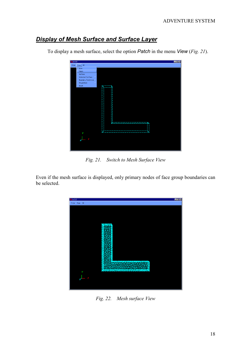### *Display of Mesh Surface and Surface Layer*

To display a mesh surface, select the option *Patch* in the menu *View* (*Fig. 21*).



*Fig. 21. Switch to Mesh Surface View* 

Even if the mesh surface is displayed, only primary nodes of face group boundaries can be selected.



*Fig. 22. Mesh surface View*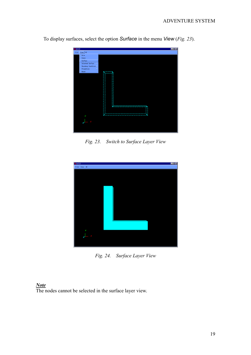

To display surfaces, select the option *Surface* in the menu *View* (*Fig. 23*).

*Fig. 23. Switch to Surface Layer View*



*Fig. 24. Surface Layer View* 

#### *Note*

The nodes cannot be selected in the surface layer view.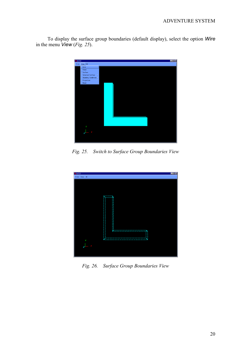To display the surface group boundaries (default display), select the option *Wire* in the menu *View* (*Fig. 25*).



*Fig. 25. Switch to Surface Group Boundaries View*



*Fig. 26. Surface Group Boundaries View*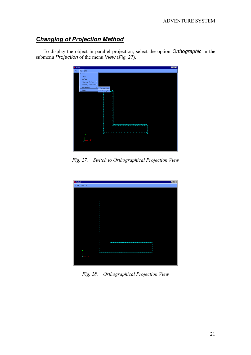### *Changing of Projection Method*

To display the object in parallel projection, select the option *Orthographic* in the submenu *Projection* of the menu *View* (*Fig. 27*).



*Fig. 27. Switch to Orthographical Projection View*



*Fig. 28. Orthographical Projection View*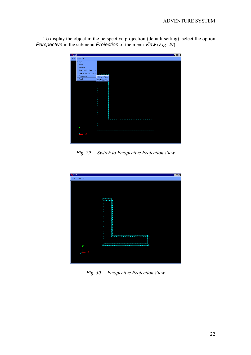To display the object in the perspective projection (default setting), select the option *Perspective* in the submenu *Projection* of the menu *View* (*Fig. 29*).



*Fig. 29. Switch to Perspective Projection View* 



*Fig. 30. Perspective Projection View*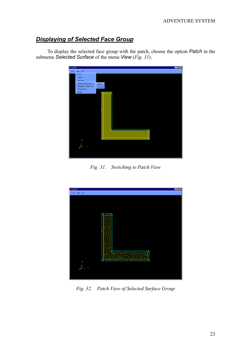### *Displaying of Selected Face Group*

To display the selected face group with the patch, choose the option *Patch* in the submenu *Selected Surface* of the menu *View* (*Fig. 31*).



*Fig. 31. Switching to Patch View*



*Fig. 32. Patch View of Selected Surface Group*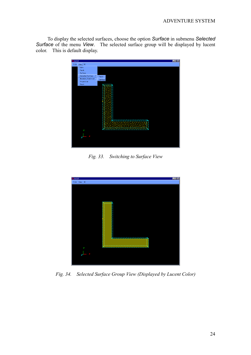To display the selected surfaces, choose the option *Surface* in submenu *Selected Surface* of the menu *View*. The selected surface group will be displayed by lucent color. This is default display.



*Fig. 33. Switching to Surface View* 



*Fig. 34. Selected Surface Group View (Displayed by Lucent Color)*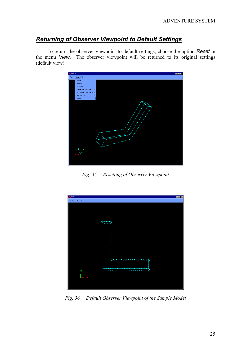### *Returning of Observer Viewpoint to Default Settings*

To return the observer viewpoint to default settings, choose the option *Reset* in the menu *View*. The observer viewpoint will be returned to its original settings (default view).



*Fig. 35. Resetting of Observer Viewpoint* 



*Fig. 36. Default Observer Viewpoint of the Sample Model*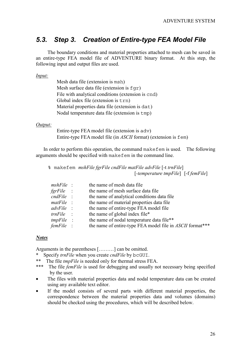## *5.3. Step 3. Creation of Entire-type FEA Model File*

The boundary conditions and material properties attached to mesh can be saved in an entire-type FEA model file of ADVENTURE binary format. At this step, the following input and output files are used.

#### *Input:*

Mesh data file (extension is msh) Mesh surface data file (extension is  $fqr$ ) File with analytical conditions (extension is cnd) Global index file (extension is trn) Material properties data file (extension is dat) Nodal temperature data file (extension is tmp)

#### *Output:*

Entire-type FEA model file (extension is adv) Entire-type FEA model file (in *ASCII* format) (extension is fem)

In order to perform this operation, the command makefem is used. The following arguments should be specified with makefem in the command line.

% makefem *mshFile fgrFile cndFile matFile advFile* [-t *trnFile*] [*-temperature tmpFile*] [-f *femFile*]

| $mshFile$ :  | the name of mesh data file                                       |
|--------------|------------------------------------------------------------------|
| fgrFile :    | the name of mesh surface data file                               |
| $cndFile$ :  | the name of analytical conditions data file                      |
| $mathFile$ : | the name of material properties data file                        |
| $advFile$ :  | the name of entire-type FEA model file                           |
| $trnFile$ :  | the name of global index file*                                   |
| $tmpFile$ :  | the name of nodal temperature data file**                        |
| femFile :    | the name of entire-type FEA model file in <i>ASCII</i> format*** |

#### *Notes*

Arguments in the parentheses [………] can be omitted.

- Specify *trnFile* when you create *cndFile* by bcGUI.
- \*\* The file *tmpFile* is needed only for thermal stress FEA.
- \*\*\* The file *femFile* is used for debugging and usually not necessary being specified by the user.
- The files with material properties data and nodal temperature data can be created using any available text editor.
- If the model consists of several parts with different material properties, the correspondence between the material properties data and volumes (domains) should be checked using the procedures, which will be described below.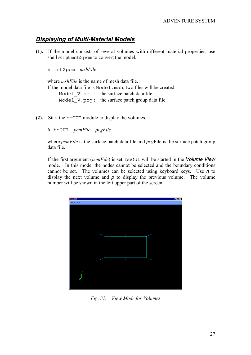### *Displaying of Multi-Material Models*

**(1).** If the model consists of several volumes with different material properties, use shell script msh2pcm to convert the model.

% msh2pcm *mshFile*

where *mshFile* is the name of mesh data file. If the model data file is Model.msh, two files will be created:

Model V.pcm: the surface patch data file

Model V.pcg: the surface patch group data file

**(2).** Start the bcGUI module to display the volumes.

% bcGUI *pcmFile pcgFile*

where *pcmFile* is the surface patch data file and *pcg*File is the surface patch group data file.

If the first argument (*pcmFile*) is set, bcGUI will be started in the *Volume View* mode. In this mode, the nodes cannot be selected and the boundary conditions cannot be set. The volumes can be selected using keyboard keys. Use *n* to display the next volume and  $p$  to display the previous volume. The volume number will be shown in the left upper part of the screen.



*Fig. 37. View Mode for Volumes*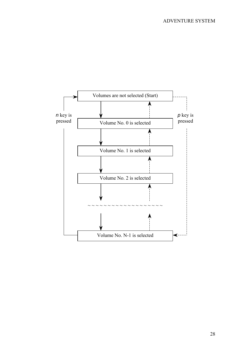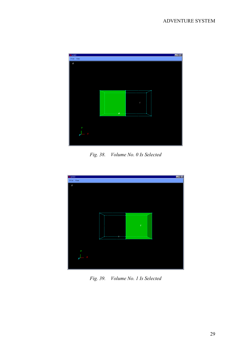

*Fig. 38. Volume No. 0 Is Selected* 



*Fig. 39. Volume No. 1 Is Selected*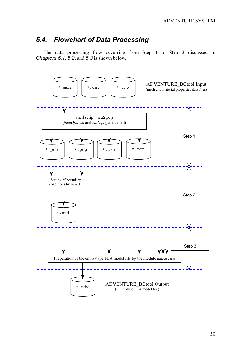## *5.4. Flowchart of Data Processing*

The data processing flow occurring from Step 1 to Step 3 discussed in *Chapters 5.1*, *5.2*, and *5.3* is shown below.

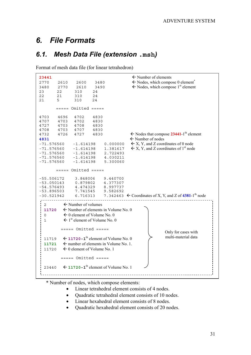## *6. File Formats*

## *6.1. Mesh Data File (extension* **.msh***)*

Format of mesh data file (for linear tetrahedron)

```
23441  23441  23441
2770 2610 2600 3480 \leftarrow Nodes, which compose 0 element<sup>*</sup>
3480 2770 2610 3490 \leftarrow Nodes, which compose 1<sup>st</sup> element
23 22 310 24<br>22 21 310 24
                    310
21 5 310 24
          ===== Omitted ====4703 4696 4702 4830
4707 4703
4727 4703 4708 4830
4708 4703 4707 4830
4732 4726 4727 4830 <br>
GNodes that compose 23441-1<sup>th</sup> element
4831  Number of nodes 
-71.576560 -1.614198 0.000000 \leftarrow X, Y, and Z coordinates of 0 node
-71.576560 -1.614198 1.381617 \leftarrow X, Y, and Z coordinates of 1<sup>st</sup> node<br>-71.576560 -1.614198 2.722493-71.576560 -1.614198 2.722493
-71.576560<br>-71.576560
                   -71.576560 -1.614198 5.300060
          ===== Omitted =====
-55.506172 3.848006 9.440700
-53.050143 0.879802 4.377307
-54.576493 4.474329<br>-53.896503 7.741545
-53.896503 7.741545 9.582692
-30.521942 6.716313 7.342463 \leftarrow Coordinates of X, Y, and Z of 4381-1<sup>th</sup> node
 \frac{1}{2} \frac{1}{2} \frac{1}{2} \frac{1}{2} \frac{1}{2} \frac{1}{2} \frac{1}{2} \frac{1}{2} \frac{1}{2} \frac{1}{2} \frac{1}{2} \frac{1}{2} \frac{1}{2} \frac{1}{2} \frac{1}{2} \frac{1}{2} \frac{1}{2} \frac{1}{2} \frac{1}{2} \frac{1}{2} \frac{1}{2} \frac{1}{2} \frac{1}{2} \frac{1}{2} \frac{1}{2} \frac{1}{2} \frac{1}{2} \frac{1}{2} \frac{1}{2} \frac{1}{2} \frac{1}{2} \frac{\frac{1}{2} \leftarrow Number of volumes
  11720 
\leftarrow Number of elements in Volume No. 0
  \leq 0 element of Volume No. 0
  1 \leftarrow 1<sup>st</sup> element of Volume No. 0
            ==== Omitted ====Only for cases with 
                                                                        multi-material data 11719 \leftarrow 11720-1<sup>th</sup> element of Volume No. 0
  11721 \leftarrow number of elements in Volume No. 1.
  11720 \leftarrow 0 element of Volume No. 1
            ==== Omitted ====23440 \leftarrow 11720-1<sup>th</sup> element of Volume No. 1
```
\* Number of nodes, which compose elements:

- Linear tetrahedral element consists of 4 nodes.
- Ouadratic tetrahedral element consists of 10 nodes.
- Linear hexahedral element consists of 8 nodes.
- Quadratic hexahedral element consists of 20 nodes.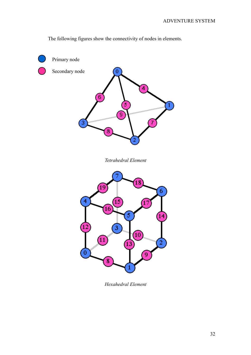Primary node Secondary node 0 Δ 6  $\overline{9}$  $\sqrt{8}$ *Tetrahedral Element*  8 6 4 17 6 3  $10\,$  $\sqrt{11}$  $\overline{0}$ Q  $\bf \bar 8$ 1

The following figures show the connectivity of nodes in elements.

*Hexahedral Element*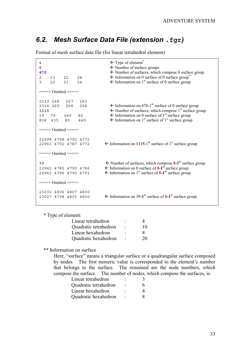## *6.2. Mesh Surface Data File (extension* **.fgr***)*

4  $\leftarrow$  Type of element<sup>\*</sup> **8** Number of surface groups **470 ← Number of surfaces, which compose 0 surface group** 2 23 22 24  $\leftarrow$  Information on 0 surface of 0 surface group\* 3 22 21 24  $\leftarrow$  Information on 1<sup>st</sup> surface of 0 surface group  $=$  =  $=$  Omitted  $=$  =  $=$ 2313 268 267 263 268 264  $\leftarrow$  Information on 470-1<sup>th</sup> surface of 0 surface group **1115**  $\leftarrow$  Number of surfaces, which compose 1<sup>st</sup> surface group 19 79 440 80  $\leftarrow$  Information on 0 surface of 1<sup>st</sup> surface group 838 435 80 440 Information on 1<sup>st</sup> surface of 1<sup>st</sup> surface group  $=$  ===== Omitted  $=$ 22998 4798 4792 4772  $\leftarrow$  Information on 1115-1<sup>th</sup> surface of 1<sup>st</sup> surface group ===== Omitted ===== 39  $\leftarrow$  Number of surfaces, which compose  $8-1$ <sup>th</sup> surface group 22942 4785 4790 4786  $\leftarrow$  Information on 0 surface of **8-1**<sup>th</sup> surface group 22962 4786 4790 4791  $\leftarrow$  Information on 1<sup>st</sup> surface of **8-1**<sup>th</sup> surface group ===== Omitted ===== 23032 4806 4807 4800  $\leftarrow$  Information on **39-1**<sup>th</sup> surface of **8-1**<sup>th</sup> surface group

Format of mesh surface data file (for linear tetrahedral element)

\* Type of element:

| Linear tetrahedron    | ۰ |    |
|-----------------------|---|----|
| Quadratic tetrahedron |   | 10 |
| Linear hexahedron     |   | x  |
| Quadratic hexahedron  | ٠ | 20 |

\*\* Information on surface

Here, "surface" means a triangular surface or a quadrangular surface composed by nodes. The first numeric value is corresponded to the element's number that belongs to the surface. The remained are the node numbers, which compose the surface. The number of nodes, which compose the surfaces, is:

| Linear tetrahedron    | ۰ |   |
|-----------------------|---|---|
| Quadratic tetrahedron | ۰ | 6 |
| Linear hexahedron     |   |   |
| Quadratic hexahedron  | ٠ |   |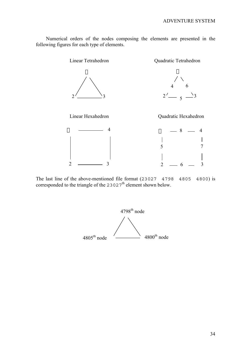Numerical orders of the nodes composing the elements are presented in the following figures for each type of elements.



The last line of the above-mentioned file format (23027 4798 4805 4800) is corresponded to the triangle of the  $23027<sup>th</sup>$  element shown below.

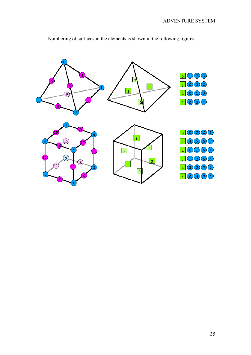

Numbering of surfaces in the elements is shown in the following figures.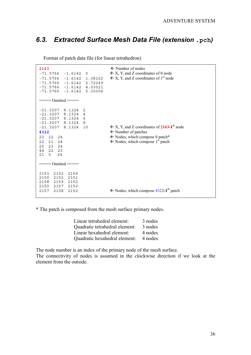## *6.3. Extracted Surface Mesh Data File (extension* **.pch***)*

| Format of patch data file (for linear tetrahedron) |  |  |
|----------------------------------------------------|--|--|
|                                                    |  |  |

| 2163<br>$-71.5766 - 1.6142 0$<br>$-71.5766 -1.6142$ 1.38162<br>$-71.5766 - 1.6142 2.72249$<br>$-71.5766 - 1.6142 4.03021$<br>$-71.5766 -1.6142 5.30006$<br>$===$ Omitted = = = = = =                                             | $\leftarrow$ Number of nodes<br>$\leftarrow$ X, Y, and Z coordinates of 0 node<br>$\leftarrow$ X, Y, and Z coordinates of 1 <sup>st</sup> node                                                               |
|----------------------------------------------------------------------------------------------------------------------------------------------------------------------------------------------------------------------------------|--------------------------------------------------------------------------------------------------------------------------------------------------------------------------------------------------------------|
| $-21.3207$ 8.1324<br>2<br>$-21.3207$ 8.1324<br>4<br>$-21.3207$ 8.1324<br>6<br>$-21.3207$ 8.1324<br>8<br>$-21.3207$ 8.1324<br>10<br>4322<br>23<br>22<br>24<br>22<br>21<br>24<br>25<br>23<br>24<br>22<br>44<br>23<br>5<br>21<br>24 | $\leftarrow$ X, Y, and Z coordinates of 2163-1 <sup>th</sup> node<br>$\leftarrow$ Number of patches<br>$\leftarrow$ Nodes, which compose 0 patch*<br>$\leftarrow$ Nodes, which compose 1 <sup>st</sup> patch |
| $====$ Omitted =====                                                                                                                                                                                                             |                                                                                                                                                                                                              |
| 2153<br>2152<br>2159<br>2150<br>2152<br>2151<br>2158 2159<br>2152<br>2152<br>2150<br>2157<br>2157<br>2158<br>2152                                                                                                                | $\leftarrow$ Nodes, which compose 4322-1 <sup>th</sup> patch                                                                                                                                                 |

\* The patch is composed from the mesh surface primary nodes.

| 3 nodes |
|---------|
| 3 nodes |
| 4 nodes |
| 4 nodes |
|         |

The node number is an index of the primary node of the mesh surface.

The connectivity of nodes is assumed in the clockwise direction if we look at the element from the outside.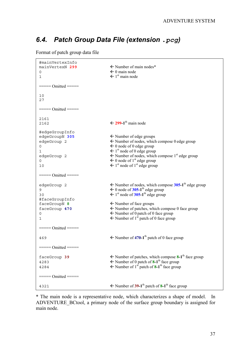## *6.4. Patch Group Data File (extension* **.***pcg)*

Format of patch group data file

```
#mainVertexInfo<br>mainVertexN 299
                              \leftarrow Number of main nodes*
0 main node
1  1st main node
===== Omitted ===== 
10
27= Omitted =2161<br>2162
                              \leftarrow 299-1<sup>th</sup> main node
#edgeGroupInfo<br>edgeGroupN 305
                              \leftarrow Number of edge groups
\epsilon Number of nodes, which compose 0 edge group
0 \leftarrow 0 node of 0 edge group
1 \leftarrow 1<sup>st</sup> node of 0 edge group
\epsilon edgeGroup 2 \epsilon Number of nodes, which compose 1<sup>st</sup> edge group
0 \leftarrow 0 node of 1<sup>st</sup> edge group
10 \leftarrow 1<sup>st</sup> node of 1<sup>st</sup> edge group
= Omitted =edgeGroup 2  Number of nodes, which compose 305-1th edge group
9 \leftarrow 0 node of 305-1<sup>th</sup> edge group
30  \leftarrow 1<sup>st</sup> node of 305-1<sup>th</sup> edge group
#faceGroupInfo
faceGroupN 8  Number of face groups
faceGroup 470  Number of patches, which compose 0 face group
0 \leftarrow Number of 0 patch of 0 face group
1  Number of 1st patch of 0 face group
===== Omitted ===== 
469  \leftarrow Number of 470-1<sup>th</sup> patch of 0 face group
= Omitted =faceGroup 39 \leftarrow Number of patches, which compose 8-1<sup>th</sup> face group
4283  Number of 0 patch of 8-1th face group 
4284  \leftarrow Number of 1<sup>st</sup> patch of 8-1<sup>th</sup> face group
= Omitted =4321   \leftarrow Number of 39-1<sup>th</sup> patch of 8-1<sup>th</sup> face group
```
\* The main node is a representative node, which characterizes a shape of model. In ADVENTURE\_BCtool, a primary node of the surface group boundary is assigned for main node.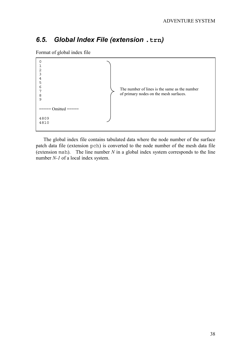## *6.5. Global Index File (extension* **.trn***)*

Format of global index file

```
0
1
2
3
4
5
6
7
8
9
===== Omitted ===== 
4809
4810
                                              The number of lines is the same as the number 
                                              of primary nodes on the mesh surfaces.
```
The global index file contains tabulated data where the node number of the surface patch data file (extension pch) is converted to the node number of the mesh data file (extension msh). The line number *N* in a global index system corresponds to the line number *N-1* of a local index system.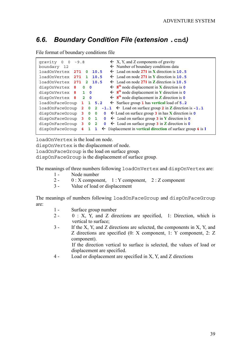## *6.6. Boundary Condition File (extension* **.cnd***)*

File format of boundary conditions file

| gravity<br>$-9.8$<br>$\overline{0}$<br>$\mathbf 0$<br>boundary 12 |              |                         |                             | $\leftarrow$ X, Y, and Z components of gravity<br>$\leftarrow$ Number of boundary conditions data |
|-------------------------------------------------------------------|--------------|-------------------------|-----------------------------|---------------------------------------------------------------------------------------------------|
| loadOnVertex<br>271                                               | n            |                         | 10.5                        | $\leftarrow$ Load on node 271 in X direction is 10.5                                              |
| loadOnVertex<br>271                                               |              |                         | 10.5                        | $\leftarrow$ Load on node 271 in Y direction is 10.5                                              |
| loadOnVertex<br>271                                               | 2            |                         | 10.5                        | $\leftarrow$ Load on node 271 in Z direction is 10.5                                              |
| dispOnVertex<br>-8                                                | 0            | $\Omega$                |                             | $\leftarrow$ 8 <sup>th</sup> node displacement in <b>X</b> direction is 0                         |
| dispOnVertex<br>8                                                 | 1.           | $\Omega$                |                             | $\leftarrow$ 8 <sup>th</sup> node displacement in Y direction is 0                                |
| dispOnVertex 8                                                    | $\mathbf{2}$ | $\overline{\mathbf{0}}$ |                             | $\leftarrow$ 8 <sup>th</sup> node displacement in <b>Z</b> direction is 0                         |
| loadOnFaceGroup                                                   |              |                         | 5.2                         | $\leftarrow$ Surface group 1 has vertical load of 5.2                                             |
| loadOnFaceGroup                                                   | 2            | 0                       | $\mathbf{2}$                | $-1.1 \leftarrow$ Load on surface group 2 in Z direction is $-1.1$                                |
| dispOnFaceGroup                                                   | 3            | $\mathbf 0$             | 0<br>$\mathbf 0$            | $\leftarrow$ Load on surface group 3 in has X direction is 0                                      |
| dispOnFaceGroup                                                   | 3            | $\mathbf 0$             | 1<br>$\mathbf{0}$           | $\leftarrow$ Load on surface group 3 in Y direction is 0                                          |
| dispOnFaceGroup                                                   | 3            | 0                       | $\mathbf{2}$<br>$\mathbf 0$ | $\leftarrow$ Load on surface group 3 in Z direction is 0                                          |
| dispOnFaceGroup                                                   |              |                         | $\leftarrow$                | Displacement in vertical direction of surface group 4 is 1                                        |

loadOnVertex is the load on node.

dispOnVertex is the displacement of node.

loadOnFaceGroup is the load on surface group.

dispOnFaceGroup is the displacement of surface group.

The meanings of three numbers following loadOnVertex and dispOnVertex are:

- 1 Node number
- 2 0 : X component, 1 : Y component, 2 : Z component
- 3 Value of load or displacement

The meanings of numbers following loadOnFaceGroup and dispOnFaceGroup are:

- 1 Surface group number
- 2 0 : X, Y, and Z directions are specified, 1: Direction, which is vertical to surface;
- 3 If the X, Y, and Z directions are selected, the components in X, Y, and Z directions are specified (0: X component, 1: Y component, 2: Z component).

If the direction vertical to surface is selected, the values of load or displacement are specified.

4 - Load or displacement are specified in X, Y, and Z directions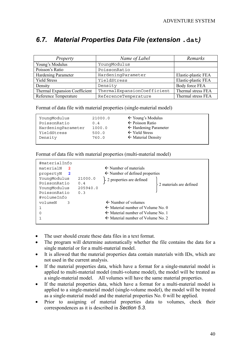## *6.7. Material Properties Data File (extension* **.dat***)*

| Property                      | Name of Label               | Remarks             |
|-------------------------------|-----------------------------|---------------------|
| Young's Modulus               | YoungModulus                |                     |
| Poisson's Ratio               | PoissonRatio                |                     |
| Hardening Parameter           | HardeningParameter          | Elastic-plastic FEA |
| <b>Yield Stress</b>           | YieldStress                 | Elastic-plastic FEA |
| Density                       | Density                     | Body force FEA      |
| Thermal Expansion Coefficient | ThermalExpansionCoefficient | Thermal stress FEA  |
| Reference Temperature         | ReferenceTemperature        | Thermal stress FEA  |

Format of data file with material properties (single-material model)

| YounqModulus       | 21000.0 | $\leftarrow$ Young's Modulus     |
|--------------------|---------|----------------------------------|
| PoissonRatio       | 0.4     | $\leftarrow$ Poisson Ratio       |
| HardeningParameter | 1000.0  | $\leftarrow$ Hardening Parameter |
| YieldStress        | 500.0   | $\leftarrow$ Yield Stress        |
| Density            | 760.0   | $\leftarrow$ Material Density    |
|                    |         |                                  |

Format of data file with material properties (multi-material model)

| #materialInfo                                                               |                                   |                                              |                         |
|-----------------------------------------------------------------------------|-----------------------------------|----------------------------------------------|-------------------------|
| materialN<br>2                                                              |                                   | $\leftarrow$ Number of materials             |                         |
| 2<br>propertyN                                                              |                                   | $\leftarrow$ Number of defined properties    |                         |
| YounqModulus<br>PoissonRatio<br>YoungModulus<br>PoissonRatio<br>#volumeInfo | 21000.0<br>0.4<br>205940.0<br>0.3 | $\}$ 2 properties are defined                | 2 materials are defined |
| volumeN<br>3                                                                |                                   | $\leftarrow$ Number of volumes               |                         |
|                                                                             |                                   | $\leftarrow$ Material number of Volume No. 0 |                         |
| 0                                                                           |                                   | $\leftarrow$ Material number of Volume No. 1 |                         |
|                                                                             |                                   | $\leftarrow$ Material number of Volume No. 2 |                         |
|                                                                             |                                   |                                              |                         |

- The user should create these data files in a text format.
- The program will determine automatically whether the file contains the data for a single material or for a multi-material model.
- It is allowed that the material properties data contain materials with IDs, which are not used in the current analysis.
- If the material properties data, which have a format for a single-material model is applied to multi-material model (multi-volume model), the model will be treated as a single-material model. All volumes will have the same material properties.
- If the material properties data, which have a format for a multi-material model is applied to a single-material model (single-volume model), the model will be treated as a single-material model and the material properties No. 0 will be applied.
- Prior to assigning of material properties data to volumes, check their correspondences as it is described in *Section 5.3*.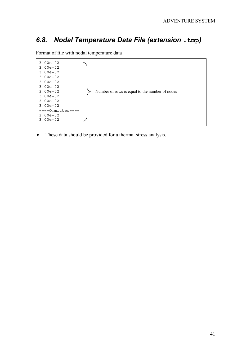## *6.8. Nodal Temperature Data File (extension* **.tmp***)*

3.00e+02 3.00e+02 3.00e+02 3.00e+02 3.00e+02 3.00e+02 3.00e+02 3.00e+02 3.00e+02 3.00e+02 ====Ommitted==== 3.00e+02 3.00e+02 Number of rows is equal to the number of nodes

Format of file with nodal temperature data

• These data should be provided for a thermal stress analysis.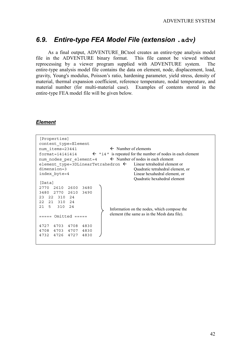### *6.9. Entire-type FEA Model File (extension* **.adv***)*

As a final output, ADVENTURE\_BCtool creates an entire-type analysis model file in the ADVENTURE binary format. This file cannot be viewed without reprocessing by a viewer program supplied with ADVENTURE system. The entire-type analysis model file contains the data on element, node, displacement, load, gravity, Young's modulus, Poisson's ratio, hardening parameter, yield stress, density of material, thermal expansion coefficient, reference temperature, nodal temperature, and material number (for multi-material case). Examples of contents stored in the entire-type FEA model file will be given below.

#### *Element*

| [Properties]<br>content type=Element                                                  |                                              |  |  |  |  |
|---------------------------------------------------------------------------------------|----------------------------------------------|--|--|--|--|
|                                                                                       |                                              |  |  |  |  |
| $\leftarrow$ Number of elements<br>num items=23441                                    |                                              |  |  |  |  |
| format=i4i4i4i4 $\leftarrow$ "i4" is repeated for the number of nodes in each element |                                              |  |  |  |  |
| num nodes per element=4 $\leftarrow$ Number of nodes in each element                  |                                              |  |  |  |  |
| element type=3DLinearTetrahedron $\leftarrow$ Linear tetrahedral element or           |                                              |  |  |  |  |
| $dimension=3$                                                                         | Quadratic tetrahedral element, or            |  |  |  |  |
| index byte=4                                                                          | Linear hexahedral element, or                |  |  |  |  |
|                                                                                       | Quadratic hexahedral element                 |  |  |  |  |
| [Data]                                                                                |                                              |  |  |  |  |
| 2770 2610 2600 3480                                                                   |                                              |  |  |  |  |
| 3480 2770 2610<br>3490                                                                |                                              |  |  |  |  |
| 23<br>22 310 24                                                                       |                                              |  |  |  |  |
| 21 310 24<br>2.2                                                                      |                                              |  |  |  |  |
| 21<br>5<br>310<br>24                                                                  |                                              |  |  |  |  |
|                                                                                       | Information on the nodes, which compose the  |  |  |  |  |
| $====$ Omitted $====$                                                                 | element (the same as in the Mesh data file). |  |  |  |  |
|                                                                                       |                                              |  |  |  |  |
| 4727 4703 4708<br>4830                                                                |                                              |  |  |  |  |
| 4708 4703 4707 4830                                                                   |                                              |  |  |  |  |
| 4732 4726<br>4727<br>4830                                                             |                                              |  |  |  |  |
|                                                                                       |                                              |  |  |  |  |
|                                                                                       |                                              |  |  |  |  |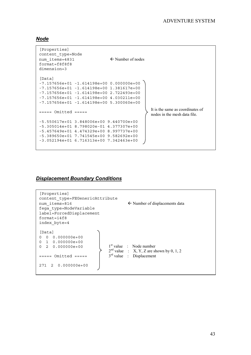#### *Node*

```
[Properties]
content_type=Node
num items=4831 ← Number of nodes
f</math>ormat=f8f8f8dimension=3
[Data]
-7.157656e+01 -1.614198e+00 0.000000e+00
-7.157656e+01 -1.614198e+00 1.381617e+00
-7.157656e+01 -1.614198e+00 2.722493e+00
-7.157656e+01 -1.614198e+00 4.030211e+00
-7.157656e+01 -1.614198e+00 5.300060e+00
==== Omitted ====-5.550617e+01 3.848006e+00 9.440700e+00
-5.305014e+01 8.798020e-01 4.377307e+00
-5.457649e+01 4.474329e+00 8.997737e+00
-5.389650e+01 7.741545e+00 9.582692e+00
-3.052194e+01 6.716313e+00 7.342463e+00
                                              It is the same as coordinates of 
                                              nodes in the mesh data file.
```
#### *Displacement Boundary Conditions*

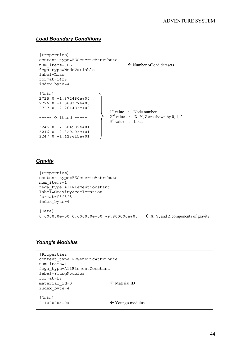### *Load Boundary Conditions*

```
[Properties]
content_type=FEGenericAttribute
num_items=305  Number of load datasets
fega_type=NodeVariable
label=Load
format=i4f8
index_byte=4
[Data]
2725 0 -1.372480e+00
2726 0 -1.069377e+00
2727 0 -2.261483e+00
===== 0mitted ====3245 0 -2.684982e+01
3246 0 -2.329293e+01
3247 0 -1.423615e+01
                               1<sup>st</sup> value : Node number
                               2<sup>nd</sup> value : X, Y, Z are shown by 0, 1, 2.
                               3<sup>rd</sup> value : Load
```
#### *Gravity*

```
[Properties]
content_type=FEGenericAttribute
num_items=1
fega_type=AllElementConstant
label=GravityAcceleration
format=f8f8f8
index_byte=4
[Data]
0.000000e+00 0.000000e+00 -9.800000e+00 \leftarrow X, Y, and Z components of gravity
```
#### *Young's Modulus*

```
[Properties]
content type=FEGenericAttribute
num_items=1
fega_type=AllElementConstant
label=YoungModulus
format=f8
material id=0 \leftarrow Material ID
index_byte=4
[Data]
2.100000e+04 \leftarrow Young's modulus
```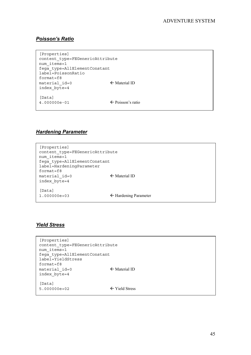### *Poisson's Ratio*

```
[Properties]
content_type=FEGenericAttribute
num items=1
fega_type=AllElementConstant
label=PoissonRatio
format=f8
material id=0 		 ← Material ID
index_byte=4
[Data]
4.000000e-01  Poisson's ratio
```
### *Hardening Parameter*

```
[Properties]
content_type=FEGenericAttribute
num items=1
fega_type=AllElementConstant
label=HardeningParameter
format=f8
\text{material} id=0 \leftarrow Material ID
index_byte=4
[Data]
1.000000e+03  Hardening Parameter
```
### *Yield Stress*

```
[Properties]
content_type=FEGenericAttribute
num_items=1
fega_type=AllElementConstant
label=YieldStress
format=f8
material id=0 \leftarrow Material ID
index_byte=4
[Data]
5.000000e+02  Yield Stress
```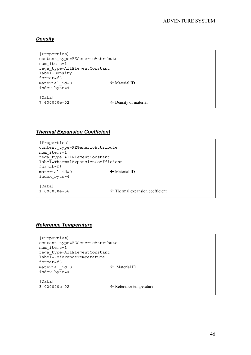### *Density*

```
[Properties]
content_type=FEGenericAttribute
num_items=1
fega_type=AllElementConstant
label=Density
format=f8
material id=0 \leftarrow Material ID
index_byte=4
[Data]
7.600000e+02 \leftarrow Density of material
```
#### *Thermal Expansion Coefficient*

```
[Properties]
content type=FEGenericAttribute
num_items=1
fega_type=AllElementConstant
label=ThermalExpansionCoefficient
format=f8
material_id=0  Material ID
index_byte=4
[Data]
1.000000e-06  Thermal expansion coefficient
```
#### *Reference Temperature*

```
[Properties]
content_type=FEGenericAttribute
num_items=1
fega_type=AllElementConstant
label=ReferenceTemperature
format=f8
material id=0 		 ★ Material ID
index_byte=4
[Data]
3.000000e+02 ← Reference temperature
```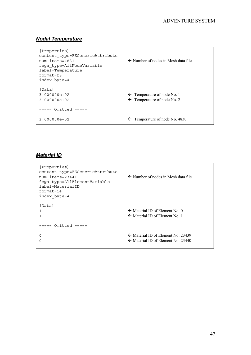### *Nodal Temperature*

| [Properties]<br>content type=FEGenericAttribute<br>num items=4831<br>feqa type=AllNodeVariable<br>label=Temperature<br>$format = f8$<br>index byte=4 | $\leftarrow$ Number of nodes in Mesh data file                                   |
|------------------------------------------------------------------------------------------------------------------------------------------------------|----------------------------------------------------------------------------------|
| [Data]<br>$3.000000e + 02$<br>$3.000000e + 02$                                                                                                       | $\leftarrow$ Temperature of node No. 1<br>$\leftarrow$ Temperature of node No. 2 |
| $====$ Omitted $====$                                                                                                                                |                                                                                  |
| $3.000000e + 02$                                                                                                                                     | $\leftarrow$ Temperature of node No. 4830                                        |

### *Material ID*

```
[Properties]
content_type=FEGenericAttribute
num items=23441 	← Number of nodes in Mesh data file
fega_type=AllElementVariable
label=MaterialID
format=i4
index_byte=4
[Data]
1  Material ID of Element No. 0
1 \leftarrow Material ID of Element No. 1
===== 0mitted ====0 \leftarrow Material ID of Element No. 23439
0 \leftarrow Material ID of Element No. 23440
```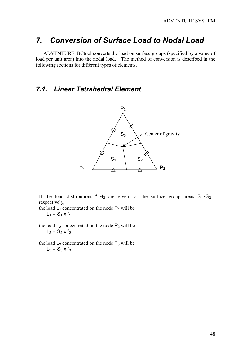## *7. Conversion of Surface Load to Nodal Load*

ADVENTURE\_BCtool converts the load on surface groups (specified by a value of load per unit area) into the nodal load. The method of conversion is described in the following sections for different types of elements.

### *7.1. Linear Tetrahedral Element*



If the load distributions  $f_1 \sim f_3$  are given for the surface group areas  $S_1 \sim S_3$ respectively,

- the load  $L_1$  concentrated on the node  $P_1$  will be  $L_1 = S_1 \times f_1$
- the load  $L_2$  concentrated on the node  $P_2$  will be  $L_2 = S_2 \times f_2$
- the load  $L_3$  concentrated on the node  $P_3$  will be  $L_3 = S_3 \times f_3$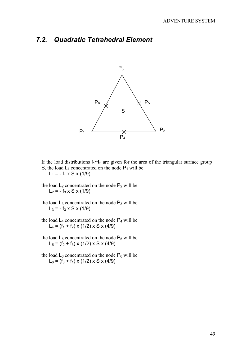### *7.2. Quadratic Tetrahedral Element*



If the load distributions  $f_1-f_3$  are given for the area of the triangular surface group S, the load  $L_1$  concentrated on the node  $P_1$  will be  $L_1 = -f_1 \times S \times (1/9)$ 

- the load  $L_2$  concentrated on the node  $P_2$  will be  $L_2 = - f_3 \times S \times (1/9)$
- the load  $L_3$  concentrated on the node  $P_3$  will be  $L_3 = -f_3 \times S \times (1/9)$
- the load  $L_4$  concentrated on the node  $P_4$  will be  $L_4 = (f_1 + f_2) \times (1/2) \times S \times (4/9)$
- the load  $L_5$  concentrated on the node  $P_5$  will be  $L_5 = (f_2 + f_3) \times (1/2) \times S \times (4/9)$
- the load  $L_6$  concentrated on the node  $P_6$  will be  $L_6 = (f_3 + f_1) \times (1/2) \times S \times (4/9)$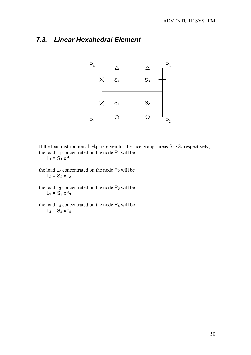## *7.3. Linear Hexahedral Element*



If the load distributions  $f_1 \sim f_4$  are given for the face groups areas  $S_1 \sim S_4$  respectively, the load  $L_1$  concentrated on the node  $P_1$  will be  $L_1 = S_1 \times f_1$ 

- the load  $L_2$  concentrated on the node  $P_2$  will be  $L_2 = S_2 \times f_2$
- the load  $L_3$  concentrated on the node  $P_3$  will be  $L_3 = S_3 \times f_3$
- the load  $L_4$  concentrated on the node  $P_4$  will be  $L_4 = S_4 \times f_4$